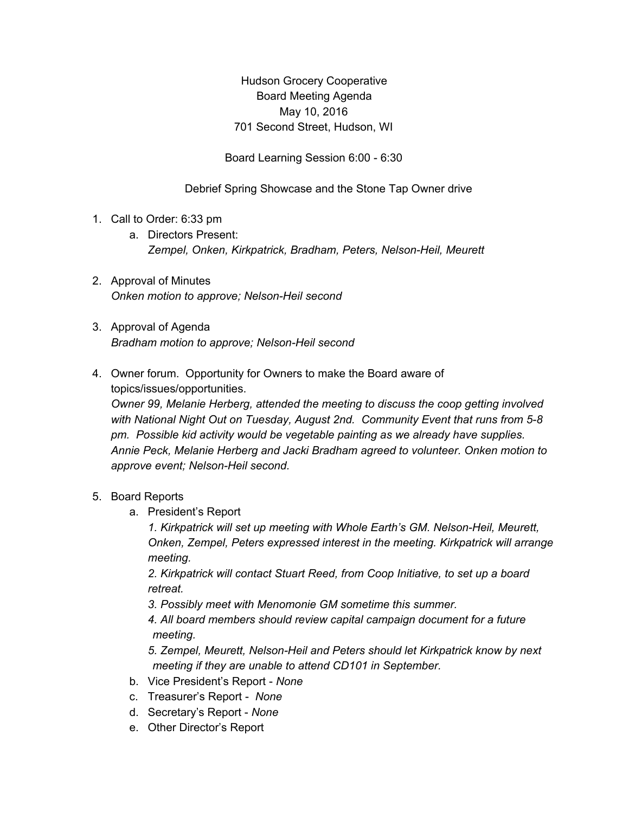Hudson Grocery Cooperative Board Meeting Agenda May 10, 2016 701 Second Street, Hudson, WI

Board Learning Session 6:00 - 6:30

Debrief Spring Showcase and the Stone Tap Owner drive

- 1. Call to Order: 6:33 pm
	- a. Directors Present: *Zempel, Onken, Kirkpatrick, Bradham, Peters, Nelson-Heil, Meurett*
- 2. Approval of Minutes *Onken motion to approve; Nelson-Heil second*
- 3. Approval of Agenda *Bradham motion to approve; Nelson-Heil second*
- 4. Owner forum. Opportunity for Owners to make the Board aware of topics/issues/opportunities.

*Owner 99, Melanie Herberg, attended the meeting to discuss the coop getting involved with National Night Out on Tuesday, August 2nd. Community Event that runs from 5-8 pm. Possible kid activity would be vegetable painting as we already have supplies. Annie Peck, Melanie Herberg and Jacki Bradham agreed to volunteer. Onken motion to approve event; Nelson-Heil second.*

## 5. Board Reports

a. President's Report

*1. Kirkpatrick will set up meeting with Whole Earth's GM. Nelson-Heil, Meurett, Onken, Zempel, Peters expressed interest in the meeting. Kirkpatrick will arrange meeting.*

*2. Kirkpatrick will contact Stuart Reed, from Coop Initiative, to set up a board retreat.*

*3. Possibly meet with Menomonie GM sometime this summer.*

*4. All board members should review capital campaign document for a future meeting.*

*5. Zempel, Meurett, Nelson-Heil and Peters should let Kirkpatrick know by next meeting if they are unable to attend CD101 in September.*

- b. Vice President's Report *None*
- c. Treasurer's Report *None*
- d. Secretary's Report *None*
- e. Other Director's Report